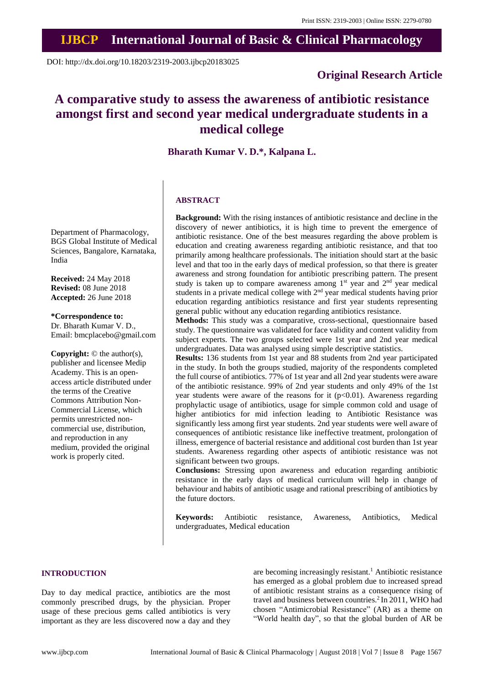# **IJBCP International Journal of Basic & Clinical Pharmacology**

DOI: http://dx.doi.org/10.18203/2319-2003.ijbcp20183025

# **Original Research Article**

# **A comparative study to assess the awareness of antibiotic resistance amongst first and second year medical undergraduate students in a medical college**

**Bharath Kumar V. D.\*, Kalpana L.**

### **ABSTRACT**

**Background:** With the rising instances of antibiotic resistance and decline in the discovery of newer antibiotics, it is high time to prevent the emergence of antibiotic resistance. One of the best measures regarding the above problem is education and creating awareness regarding antibiotic resistance, and that too primarily among healthcare professionals. The initiation should start at the basic level and that too in the early days of medical profession, so that there is greater awareness and strong foundation for antibiotic prescribing pattern. The present study is taken up to compare awareness among  $1<sup>st</sup>$  year and  $2<sup>nd</sup>$  year medical students in a private medical college with  $2<sup>nd</sup>$  year medical students having prior education regarding antibiotics resistance and first year students representing general public without any education regarding antibiotics resistance.

**Methods:** This study was a comparative, cross-sectional, questionnaire based study. The questionnaire was validated for face validity and content validity from subject experts. The two groups selected were 1st year and 2nd year medical undergraduates. Data was analysed using simple descriptive statistics.

**Results:** 136 students from 1st year and 88 students from 2nd year participated in the study. In both the groups studied, majority of the respondents completed the full course of antibiotics. 77% of 1st year and all 2nd year students were aware of the antibiotic resistance. 99% of 2nd year students and only 49% of the 1st year students were aware of the reasons for it  $(p<0.01)$ . Awareness regarding prophylactic usage of antibiotics, usage for simple common cold and usage of higher antibiotics for mid infection leading to Antibiotic Resistance was significantly less among first year students. 2nd year students were well aware of consequences of antibiotic resistance like ineffective treatment, prolongation of illness, emergence of bacterial resistance and additional cost burden than 1st year students. Awareness regarding other aspects of antibiotic resistance was not significant between two groups.

**Conclusions:** Stressing upon awareness and education regarding antibiotic resistance in the early days of medical curriculum will help in change of behaviour and habits of antibiotic usage and rational prescribing of antibiotics by the future doctors.

**Keywords:** Antibiotic resistance, Awareness, Antibiotics, Medical undergraduates, Medical education

#### **INTRODUCTION**

Day to day medical practice, antibiotics are the most commonly prescribed drugs, by the physician. Proper usage of these precious gems called antibiotics is very important as they are less discovered now a day and they are becoming increasingly resistant.<sup>1</sup> Antibiotic resistance has emerged as a global problem due to increased spread of antibiotic resistant strains as a consequence rising of travel and business between countries.<sup>2</sup> In 2011, WHO had chosen "Antimicrobial Resistance" (AR) as a theme on "World health day", so that the global burden of AR be

Department of Pharmacology, BGS Global Institute of Medical Sciences, Bangalore, Karnataka, India

**Received:** 24 May 2018 **Revised:** 08 June 2018 **Accepted:** 26 June 2018

**\*Correspondence to:** Dr. Bharath Kumar V. D., Email: bmcplacebo@gmail.com

**Copyright:** © the author(s), publisher and licensee Medip Academy. This is an openaccess article distributed under the terms of the Creative Commons Attribution Non-Commercial License, which permits unrestricted noncommercial use, distribution, and reproduction in any medium, provided the original work is properly cited.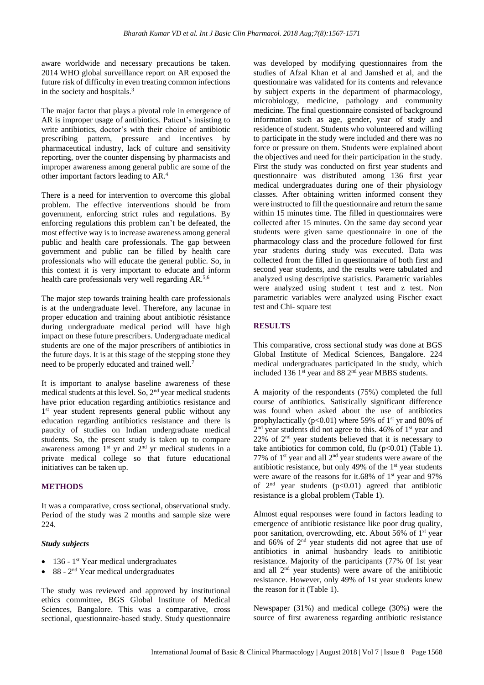aware worldwide and necessary precautions be taken. 2014 WHO global surveillance report on AR exposed the future risk of difficulty in even treating common infections in the society and hospitals.<sup>3</sup>

The major factor that plays a pivotal role in emergence of AR is improper usage of antibiotics. Patient's insisting to write antibiotics, doctor's with their choice of antibiotic prescribing pattern, pressure and incentives by pharmaceutical industry, lack of culture and sensitivity reporting, over the counter dispensing by pharmacists and improper awareness among general public are some of the other important factors leading to AR.<sup>4</sup>

There is a need for intervention to overcome this global problem. The effective interventions should be from government, enforcing strict rules and regulations. By enforcing regulations this problem can't be defeated, the most effective way is to increase awareness among general public and health care professionals. The gap between government and public can be filled by health care professionals who will educate the general public. So, in this context it is very important to educate and inform health care professionals very well regarding AR.5,6

The major step towards training health care professionals is at the undergraduate level. Therefore, any lacunae in proper education and training about antibiotic résistance during undergraduate medical period will have high impact on these future prescribers. Undergraduate medical students are one of the major prescribers of antibiotics in the future days. It is at this stage of the stepping stone they need to be properly educated and trained well.<sup>7</sup>

It is important to analyse baseline awareness of these medical students at this level. So, 2<sup>nd</sup> year medical students have prior education regarding antibiotics resistance and 1<sup>st</sup> year student represents general public without any education regarding antibiotics resistance and there is paucity of studies on Indian undergraduate medical students. So, the present study is taken up to compare awareness among  $1<sup>st</sup>$  yr and  $2<sup>nd</sup>$  yr medical students in a private medical college so that future educational initiatives can be taken up.

#### **METHODS**

It was a comparative, cross sectional, observational study. Period of the study was 2 months and sample size were 224.

#### *Study subjects*

- $\bullet$  136 1<sup>st</sup> Year medical undergraduates
- $\bullet$  88 2<sup>nd</sup> Year medical undergraduates

The study was reviewed and approved by institutional ethics committee, BGS Global Institute of Medical Sciences, Bangalore. This was a comparative, cross sectional, questionnaire-based study. Study questionnaire

was developed by modifying questionnaires from the studies of Afzal Khan et al and Jamshed et al, and the questionnaire was validated for its contents and relevance by subject experts in the department of pharmacology, microbiology, medicine, pathology and community medicine. The final questionnaire consisted of background information such as age, gender, year of study and residence of student. Students who volunteered and willing to participate in the study were included and there was no force or pressure on them. Students were explained about the objectives and need for their participation in the study. First the study was conducted on first year students and questionnaire was distributed among 136 first year medical undergraduates during one of their physiology classes. After obtaining written informed consent they were instructed to fill the questionnaire and return the same within 15 minutes time. The filled in questionnaires were collected after 15 minutes. On the same day second year students were given same questionnaire in one of the pharmacology class and the procedure followed for first year students during study was executed. Data was collected from the filled in questionnaire of both first and second year students, and the results were tabulated and analyzed using descriptive statistics. Parametric variables were analyzed using student t test and z test. Non parametric variables were analyzed using Fischer exact test and Chi- square test

#### **RESULTS**

This comparative, cross sectional study was done at BGS Global Institute of Medical Sciences, Bangalore. 224 medical undergraduates participated in the study, which included 136 1<sup>st</sup> year and 88 2<sup>nd</sup> year MBBS students.

A majority of the respondents (75%) completed the full course of antibiotics. Satistically significant difference was found when asked about the use of antibiotics prophylactically ( $p<0.01$ ) where 59% of 1<sup>st</sup> yr and 80% of 2<sup>nd</sup> year students did not agree to this. 46% of 1<sup>st</sup> year and 22% of 2<sup>nd</sup> year students believed that it is necessary to take antibiotics for common cold, flu  $(p<0.01)$  (Table 1). 77% of  $1<sup>st</sup>$  year and all  $2<sup>nd</sup>$  year students were aware of the antibiotic resistance, but only 49% of the 1<sup>st</sup> year students were aware of the reasons for it.68% of 1<sup>st</sup> year and 97% of  $2<sup>nd</sup>$  year students (p<0.01) agreed that antibiotic resistance is a global problem (Table 1).

Almost equal responses were found in factors leading to emergence of antibiotic resistance like poor drug quality, poor sanitation, overcrowding, etc. About 56% of 1<sup>st</sup> year and 66% of 2<sup>nd</sup> year students did not agree that use of antibiotics in animal husbandry leads to anitibiotic resistance. Majority of the participants (77% 0f 1st year and all 2<sup>nd</sup> year students) were aware of the anitibiotic resistance. However, only 49% of 1st year students knew the reason for it (Table 1).

Newspaper (31%) and medical college (30%) were the source of first awareness regarding antibiotic resistance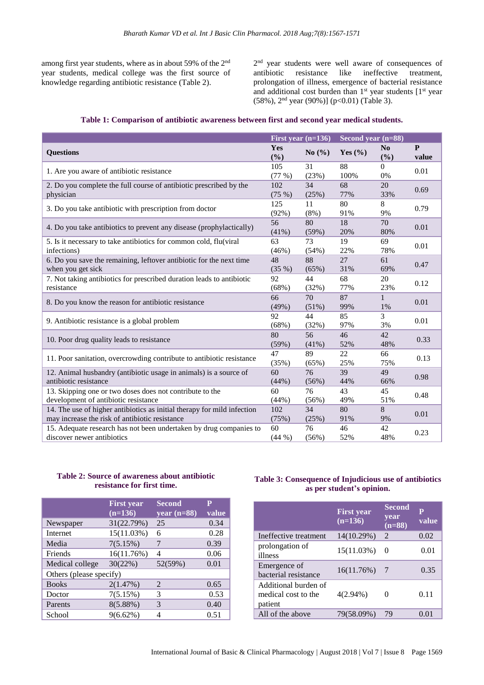among first year students, where as in about 59% of the 2<sup>nd</sup> year students, medical college was the first source of knowledge regarding antibiotic resistance (Table 2).

2<sup>nd</sup> year students were well aware of consequences of antibiotic resistance like ineffective treatment, prolongation of illness, emergence of bacterial resistance and additional cost burden than  $1<sup>st</sup>$  year students  $[1<sup>st</sup>$  year (58%), 2<sup>nd</sup> year (90%)] (p<0.01) (Table 3).

|  |  | Table 1: Comparison of antibiotic awareness between first and second year medical students. |  |  |  |  |  |
|--|--|---------------------------------------------------------------------------------------------|--|--|--|--|--|
|  |  |                                                                                             |  |  |  |  |  |

|                                                                                                                           | First year $(n=136)$ |                | Second year (n=88) |                    |                       |
|---------------------------------------------------------------------------------------------------------------------------|----------------------|----------------|--------------------|--------------------|-----------------------|
| <b>Questions</b>                                                                                                          | <b>Yes</b><br>(%)    | No $(\% )$     | Yes $(\% )$        | No<br>(%)          | $\mathbf{P}$<br>value |
| 1. Are you aware of antibiotic resistance                                                                                 | 105<br>(77%)         | 31<br>(23%)    | 88<br>100%         | $\Omega$<br>0%     | 0.01                  |
| 2. Do you complete the full course of antibiotic prescribed by the<br>physician                                           | 102<br>(75%)         | 34<br>(25%)    | 68<br>77%          | 20<br>33%          | 0.69                  |
| 3. Do you take antibiotic with prescription from doctor                                                                   | 125<br>$(92\%)$      | 11<br>$(8\%)$  | 80<br>91%          | 8<br>9%            | 0.79                  |
| 4. Do you take antibiotics to prevent any disease (prophylactically)                                                      | 56<br>(41%)          | 80<br>(59%)    | 18<br>20%          | 70<br>80%          | 0.01                  |
| 5. Is it necessary to take antibiotics for common cold, flu(viral<br>infections)                                          | 63<br>(46%)          | 73<br>$(54\%)$ | 19<br>22%          | 69<br>78%          | 0.01                  |
| 6. Do you save the remaining, leftover antibiotic for the next time<br>when you get sick                                  | 48<br>(35%)          | 88<br>(65%)    | 27<br>31%          | 61<br>69%          | 0.47                  |
| 7. Not taking antibiotics for prescribed duration leads to antibiotic<br>resistance                                       | 92<br>(68%)          | 44<br>(32%)    | 68<br>77%          | 20<br>23%          | 0.12                  |
| 8. Do you know the reason for antibiotic resistance                                                                       | 66<br>(49%)          | 70<br>(51%)    | 87<br>99%          | $\mathbf{1}$<br>1% | 0.01                  |
| 9. Antibiotic resistance is a global problem                                                                              | 92<br>(68%)          | 44<br>(32%)    | 85<br>97%          | 3<br>3%            | 0.01                  |
| 10. Poor drug quality leads to resistance                                                                                 | 80<br>(59%)          | 56<br>(41%)    | 46<br>52%          | 42<br>48%          | 0.33                  |
| 11. Poor sanitation, overcrowding contribute to antibiotic resistance                                                     | 47<br>(35%)          | 89<br>(65%)    | 22<br>25%          | 66<br>75%          | 0.13                  |
| 12. Animal husbandry (antibiotic usage in animals) is a source of<br>antibiotic resistance                                | 60<br>(44%)          | 76<br>(56%)    | 39<br>44%          | 49<br>66%          | 0.98                  |
| 13. Skipping one or two doses does not contribute to the<br>development of antibiotic resistance                          | 60<br>(44%)          | 76<br>(56%)    | 43<br>49%          | 45<br>51%          | 0.48                  |
| 14. The use of higher antibiotics as initial therapy for mild infection<br>may increase the risk of antibiotic resistance | 102<br>(75%)         | 34<br>(25%)    | 80<br>91%          | 8<br>9%            | 0.01                  |
| 15. Adequate research has not been undertaken by drug companies to<br>discover newer antibiotics                          | 60<br>(44%)          | 76<br>(56%)    | 46<br>52%          | 42<br>48%          | 0.23                  |

## **Table 2: Source of awareness about antibiotic resistance for first time.**

|                         | <b>First year</b><br>$(n=136)$ | <b>Second</b><br>year $(n=88)$ | P<br>value |  |  |  |  |  |
|-------------------------|--------------------------------|--------------------------------|------------|--|--|--|--|--|
| Newspaper               | 31(22.79%)                     | 25                             | 0.34       |  |  |  |  |  |
| Internet                | 15(11.03%)                     | 6                              | 0.28       |  |  |  |  |  |
| Media                   | 7(5.15%)                       | 7                              | 0.39       |  |  |  |  |  |
| Friends                 | 16(11.76%)                     | 4                              | 0.06       |  |  |  |  |  |
| Medical college         | 30(22%)                        | 52(59%)                        | 0.01       |  |  |  |  |  |
| Others (please specify) |                                |                                |            |  |  |  |  |  |
| <b>Books</b>            | 2(1.47%)                       | $\overline{2}$                 | 0.65       |  |  |  |  |  |
| Doctor                  | 7(5.15%)                       | 3                              | 0.53       |  |  |  |  |  |
| Parents                 | $8(5.88\%)$                    | 3                              | 0.40       |  |  |  |  |  |
| School                  | $9(6.62\%)$                    | 4                              | 0.51       |  |  |  |  |  |

# **Table 3: Consequence of Injudicious use of antibiotics as per student's opinion.**

|                                                        | <b>First year</b><br>$(n=136)$ | <b>Second</b><br>vear<br>$(n=88)$ | $\mathbf{p}$<br>value |
|--------------------------------------------------------|--------------------------------|-----------------------------------|-----------------------|
| Ineffective treatment                                  | 14(10.29%)                     | $\overline{2}$                    | 0.02                  |
| prolongation of<br>illness                             | 15(11.03%)                     | $\theta$                          | 0.01                  |
| Emergence of<br>bacterial resistance                   | 16(11.76%)                     | - 7                               | 0.35                  |
| Additional burden of<br>medical cost to the<br>patient | $4(2.94\%)$                    |                                   | 0.11                  |
| All of the above                                       | 79(58.09%)                     | 79                                | 0.01                  |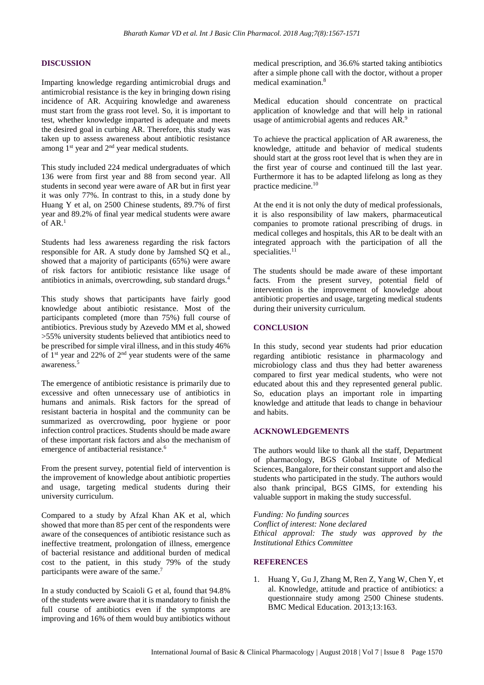#### **DISCUSSION**

Imparting knowledge regarding antimicrobial drugs and antimicrobial resistance is the key in bringing down rising incidence of AR. Acquiring knowledge and awareness must start from the grass root level. So, it is important to test, whether knowledge imparted is adequate and meets the desired goal in curbing AR. Therefore, this study was taken up to assess awareness about antibiotic resistance among  $1<sup>st</sup>$  year and  $2<sup>nd</sup>$  year medical students.

This study included 224 medical undergraduates of which 136 were from first year and 88 from second year. All students in second year were aware of AR but in first year it was only 77%. In contrast to this, in a study done by Huang Y et al, on 2500 Chinese students, 89.7% of first year and 89.2% of final year medical students were aware of AR.<sup>1</sup>

Students had less awareness regarding the risk factors responsible for AR. A study done by Jamshed SQ et al., showed that a majority of participants (65%) were aware of risk factors for antibiotic resistance like usage of antibiotics in animals, overcrowding, sub standard drugs.<sup>4</sup>

This study shows that participants have fairly good knowledge about antibiotic resistance. Most of the participants completed (more than 75%) full course of antibiotics. Previous study by Azevedo MM et al, showed >55% university students believed that antibiotics need to be prescribed for simple viral illness, and in this study 46% of  $1<sup>st</sup>$  year and 22% of  $2<sup>nd</sup>$  year students were of the same awareness.<sup>5</sup>

The emergence of antibiotic resistance is primarily due to excessive and often unnecessary use of antibiotics in humans and animals. Risk factors for the spread of resistant bacteria in hospital and the community can be summarized as overcrowding, poor hygiene or poor infection control practices. Students should be made aware of these important risk factors and also the mechanism of emergence of antibacterial resistance.<sup>6</sup>

From the present survey, potential field of intervention is the improvement of knowledge about antibiotic properties and usage, targeting medical students during their university curriculum.

Compared to a study by Afzal Khan AK et al, which showed that more than 85 per cent of the respondents were aware of the consequences of antibiotic resistance such as ineffective treatment, prolongation of illness, emergence of bacterial resistance and additional burden of medical cost to the patient, in this study 79% of the study participants were aware of the same.<sup>7</sup>

In a study conducted by Scaioli G et al, found that 94.8% of the students were aware that it is mandatory to finish the full course of antibiotics even if the symptoms are improving and 16% of them would buy antibiotics without medical prescription, and 36.6% started taking antibiotics after a simple phone call with the doctor, without a proper medical examination.<sup>8</sup>

Medical education should concentrate on practical application of knowledge and that will help in rational usage of antimicrobial agents and reduces AR.<sup>9</sup>

To achieve the practical application of AR awareness, the knowledge, attitude and behavior of medical students should start at the gross root level that is when they are in the first year of course and continued till the last year. Furthermore it has to be adapted lifelong as long as they practice medicine.<sup>10</sup>

At the end it is not only the duty of medical professionals, it is also responsibility of law makers, pharmaceutical companies to promote rational prescribing of drugs. in medical colleges and hospitals, this AR to be dealt with an integrated approach with the participation of all the specialities. $11$ 

The students should be made aware of these important facts. From the present survey, potential field of intervention is the improvement of knowledge about antibiotic properties and usage, targeting medical students during their university curriculum.

#### **CONCLUSION**

In this study, second year students had prior education regarding antibiotic resistance in pharmacology and microbiology class and thus they had better awareness compared to first year medical students, who were not educated about this and they represented general public. So, education plays an important role in imparting knowledge and attitude that leads to change in behaviour and habits.

#### **ACKNOWLEDGEMENTS**

The authors would like to thank all the staff, Department of pharmacology, BGS Global Institute of Medical Sciences, Bangalore, for their constant support and also the students who participated in the study. The authors would also thank principal, BGS GIMS, for extending his valuable support in making the study successful.

*Funding: No funding sources Conflict of interest: None declared*

*Ethical approval: The study was approved by the Institutional Ethics Committee*

#### **REFERENCES**

1. Huang Y, Gu J, Zhang M, Ren Z, Yang W, Chen Y, et al. Knowledge, attitude and practice of antibiotics: a questionnaire study among 2500 Chinese students. BMC Medical Education. 2013;13:163.